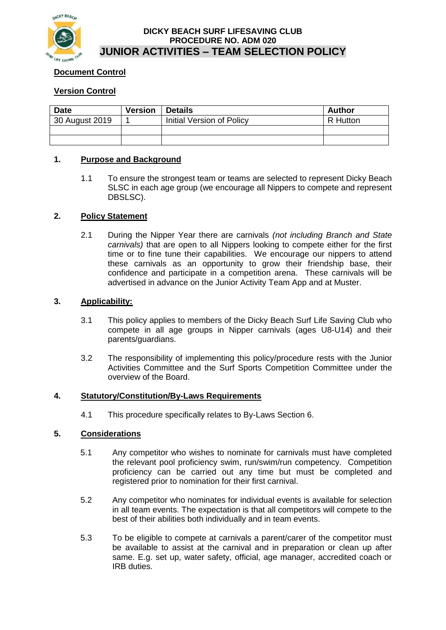

## **DICKY BEACH SURF LIFESAVING CLUB PROCEDURE NO. ADM 020 JUNIOR ACTIVITIES – TEAM SELECTION POLICY**

# **Document Control**

# **Version Control**

| <b>Date</b>    | <b>Version</b> | <b>Details</b>                   | <b>Author</b> |
|----------------|----------------|----------------------------------|---------------|
| 30 August 2019 |                | <b>Initial Version of Policy</b> | R Hutton      |
|                |                |                                  |               |
|                |                |                                  |               |

## **1. Purpose and Background**

1.1 To ensure the strongest team or teams are selected to represent Dicky Beach SLSC in each age group (we encourage all Nippers to compete and represent DBSLSC).

# **2. Policy Statement**

2.1 During the Nipper Year there are carnivals *(not including Branch and State carnivals)* that are open to all Nippers looking to compete either for the first time or to fine tune their capabilities. We encourage our nippers to attend these carnivals as an opportunity to grow their friendship base, their confidence and participate in a competition arena. These carnivals will be advertised in advance on the Junior Activity Team App and at Muster.

### **3. Applicability:**

- 3.1 This policy applies to members of the Dicky Beach Surf Life Saving Club who compete in all age groups in Nipper carnivals (ages U8-U14) and their parents/guardians.
- 3.2 The responsibility of implementing this policy/procedure rests with the Junior Activities Committee and the Surf Sports Competition Committee under the overview of the Board.

### **4. Statutory/Constitution/By-Laws Requirements**

4.1 This procedure specifically relates to By-Laws Section 6.

# **5. Considerations**

- 5.1 Any competitor who wishes to nominate for carnivals must have completed the relevant pool proficiency swim, run/swim/run competency. Competition proficiency can be carried out any time but must be completed and registered prior to nomination for their first carnival.
- 5.2 Any competitor who nominates for individual events is available for selection in all team events. The expectation is that all competitors will compete to the best of their abilities both individually and in team events.
- 5.3 To be eligible to compete at carnivals a parent/carer of the competitor must be available to assist at the carnival and in preparation or clean up after same. E.g. set up, water safety, official, age manager, accredited coach or IRB duties.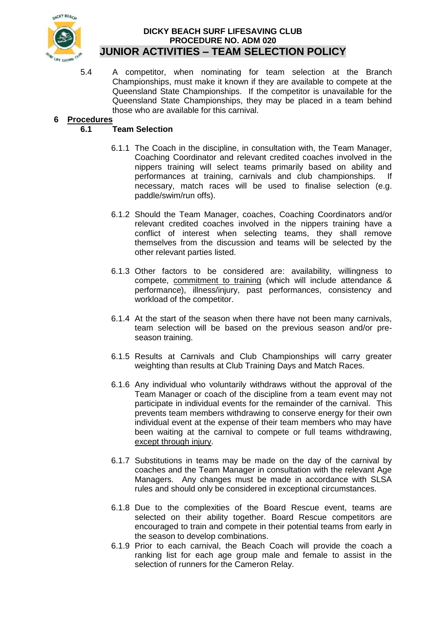

## **DICKY BEACH SURF LIFESAVING CLUB PROCEDURE NO. ADM 020 JUNIOR ACTIVITIES – TEAM SELECTION POLICY**

5.4 A competitor, when nominating for team selection at the Branch Championships, must make it known if they are available to compete at the Queensland State Championships. If the competitor is unavailable for the Queensland State Championships, they may be placed in a team behind those who are available for this carnival.

# **6 Procedures**

# **6.1 Team Selection**

- 6.1.1 The Coach in the discipline, in consultation with, the Team Manager, Coaching Coordinator and relevant credited coaches involved in the nippers training will select teams primarily based on ability and performances at training, carnivals and club championships. If necessary, match races will be used to finalise selection (e.g. paddle/swim/run offs).
- 6.1.2 Should the Team Manager, coaches, Coaching Coordinators and/or relevant credited coaches involved in the nippers training have a conflict of interest when selecting teams, they shall remove themselves from the discussion and teams will be selected by the other relevant parties listed.
- 6.1.3 Other factors to be considered are: availability, willingness to compete, commitment to training (which will include attendance & performance), illness/injury, past performances, consistency and workload of the competitor.
- 6.1.4 At the start of the season when there have not been many carnivals, team selection will be based on the previous season and/or preseason training.
- 6.1.5 Results at Carnivals and Club Championships will carry greater weighting than results at Club Training Days and Match Races.
- 6.1.6 Any individual who voluntarily withdraws without the approval of the Team Manager or coach of the discipline from a team event may not participate in individual events for the remainder of the carnival. This prevents team members withdrawing to conserve energy for their own individual event at the expense of their team members who may have been waiting at the carnival to compete or full teams withdrawing, except through injury.
- 6.1.7 Substitutions in teams may be made on the day of the carnival by coaches and the Team Manager in consultation with the relevant Age Managers. Any changes must be made in accordance with SLSA rules and should only be considered in exceptional circumstances.
- 6.1.8 Due to the complexities of the Board Rescue event, teams are selected on their ability together. Board Rescue competitors are encouraged to train and compete in their potential teams from early in the season to develop combinations.
- 6.1.9 Prior to each carnival, the Beach Coach will provide the coach a ranking list for each age group male and female to assist in the selection of runners for the Cameron Relay.